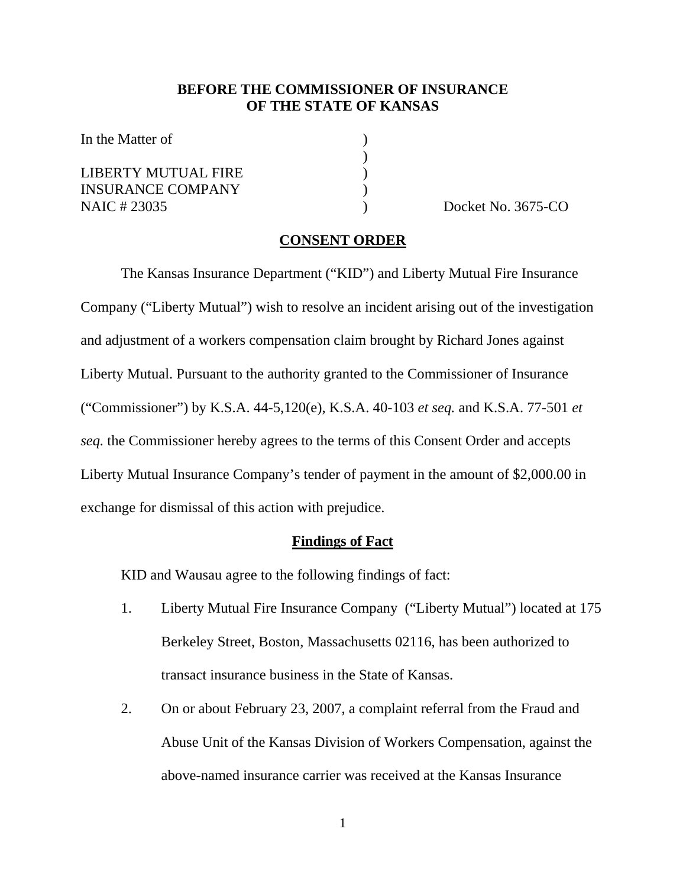## **BEFORE THE COMMISSIONER OF INSURANCE OF THE STATE OF KANSAS**

In the Matter of  $\qquad \qquad$  )

LIBERTY MUTUAL FIRE ) INSURANCE COMPANY ) NAIC # 23035 ) Docket No. 3675-CO

 $)$ 

#### **CONSENT ORDER**

 The Kansas Insurance Department ("KID") and Liberty Mutual Fire Insurance Company ("Liberty Mutual") wish to resolve an incident arising out of the investigation and adjustment of a workers compensation claim brought by Richard Jones against Liberty Mutual. Pursuant to the authority granted to the Commissioner of Insurance ("Commissioner") by K.S.A. 44-5,120(e), K.S.A. 40-103 *et seq.* and K.S.A. 77-501 *et seq.* the Commissioner hereby agrees to the terms of this Consent Order and accepts Liberty Mutual Insurance Company's tender of payment in the amount of \$2,000.00 in exchange for dismissal of this action with prejudice.

### **Findings of Fact**

KID and Wausau agree to the following findings of fact:

- 1. Liberty Mutual Fire Insurance Company ("Liberty Mutual") located at 175 Berkeley Street, Boston, Massachusetts 02116, has been authorized to transact insurance business in the State of Kansas.
- 2. On or about February 23, 2007, a complaint referral from the Fraud and Abuse Unit of the Kansas Division of Workers Compensation, against the above-named insurance carrier was received at the Kansas Insurance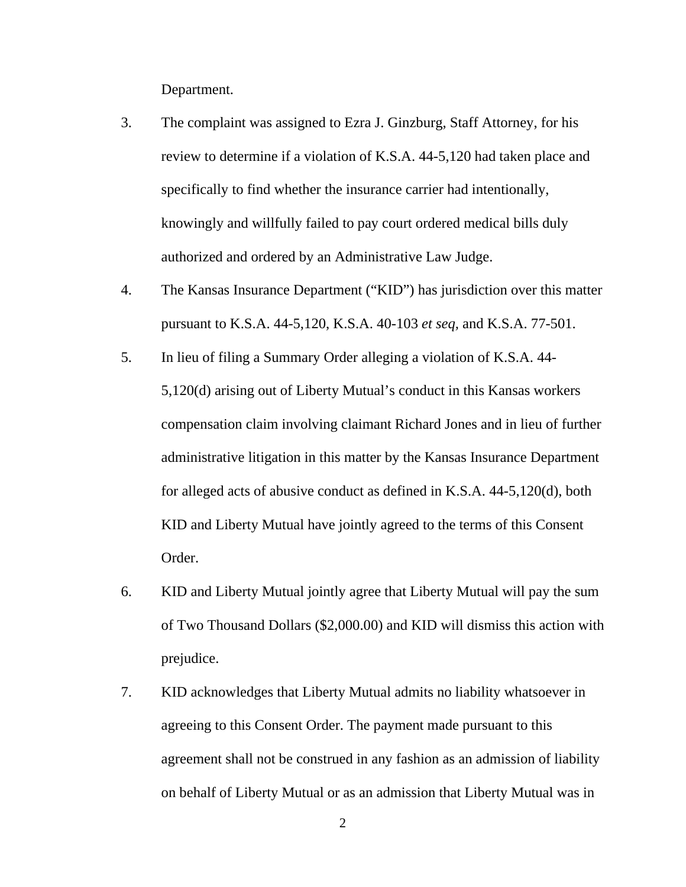Department.

- 3. The complaint was assigned to Ezra J. Ginzburg, Staff Attorney, for his review to determine if a violation of K.S.A. 44-5,120 had taken place and specifically to find whether the insurance carrier had intentionally, knowingly and willfully failed to pay court ordered medical bills duly authorized and ordered by an Administrative Law Judge.
- 4. The Kansas Insurance Department ("KID") has jurisdiction over this matter pursuant to K.S.A. 44-5,120, K.S.A. 40-103 *et seq,* and K.S.A. 77-501.
- 5. In lieu of filing a Summary Order alleging a violation of K.S.A. 44- 5,120(d) arising out of Liberty Mutual's conduct in this Kansas workers compensation claim involving claimant Richard Jones and in lieu of further administrative litigation in this matter by the Kansas Insurance Department for alleged acts of abusive conduct as defined in K.S.A. 44-5,120(d), both KID and Liberty Mutual have jointly agreed to the terms of this Consent Order.
- 6. KID and Liberty Mutual jointly agree that Liberty Mutual will pay the sum of Two Thousand Dollars (\$2,000.00) and KID will dismiss this action with prejudice.
- 7. KID acknowledges that Liberty Mutual admits no liability whatsoever in agreeing to this Consent Order. The payment made pursuant to this agreement shall not be construed in any fashion as an admission of liability on behalf of Liberty Mutual or as an admission that Liberty Mutual was in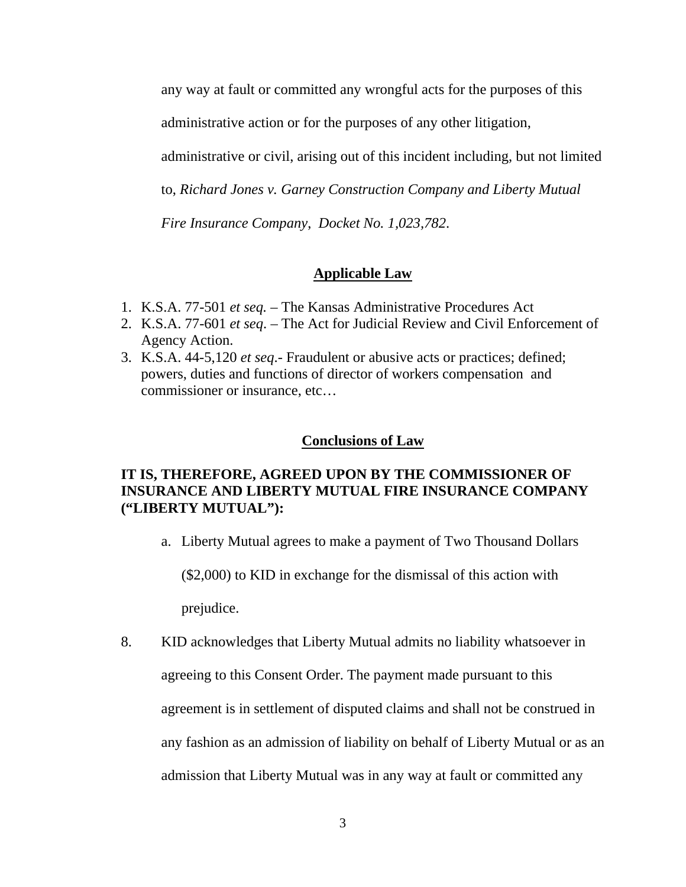any way at fault or committed any wrongful acts for the purposes of this

administrative action or for the purposes of any other litigation,

administrative or civil, arising out of this incident including, but not limited

to, *Richard Jones v. Garney Construction Company and Liberty Mutual* 

*Fire Insurance Company*, *Docket No. 1,023,782*.

## **Applicable Law**

- 1. K.S.A. 77-501 *et seq.*  The Kansas Administrative Procedures Act
- 2. K.S.A. 77-601 *et seq*. The Act for Judicial Review and Civil Enforcement of Agency Action.
- 3. K.S.A. 44-5,120 *et seq*.- Fraudulent or abusive acts or practices; defined; powers, duties and functions of director of workers compensation and commissioner or insurance, etc…

#### **Conclusions of Law**

## **IT IS, THEREFORE, AGREED UPON BY THE COMMISSIONER OF INSURANCE AND LIBERTY MUTUAL FIRE INSURANCE COMPANY ("LIBERTY MUTUAL"):**

a. Liberty Mutual agrees to make a payment of Two Thousand Dollars

(\$2,000) to KID in exchange for the dismissal of this action with prejudice.

8. KID acknowledges that Liberty Mutual admits no liability whatsoever in agreeing to this Consent Order. The payment made pursuant to this agreement is in settlement of disputed claims and shall not be construed in any fashion as an admission of liability on behalf of Liberty Mutual or as an admission that Liberty Mutual was in any way at fault or committed any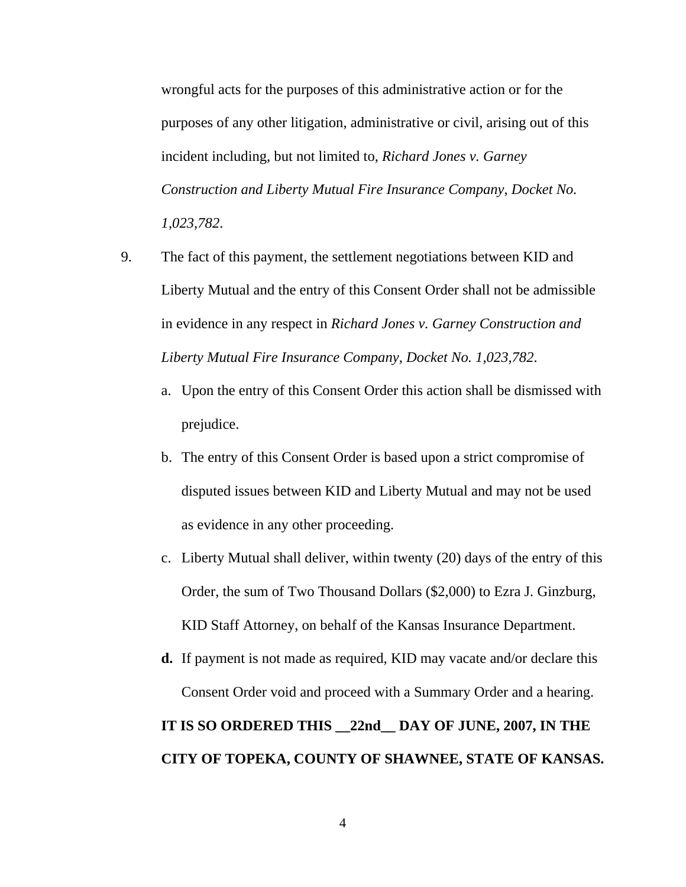wrongful acts for the purposes of this administrative action or for the purposes of any other litigation, administrative or civil, arising out of this incident including, but not limited to, *Richard Jones v. Garney Construction and Liberty Mutual Fire Insurance Company*, *Docket No. 1,023,782*.

- 9. The fact of this payment, the settlement negotiations between KID and Liberty Mutual and the entry of this Consent Order shall not be admissible in evidence in any respect in *Richard Jones v. Garney Construction and Liberty Mutual Fire Insurance Company*, *Docket No. 1,023,782*.
	- a. Upon the entry of this Consent Order this action shall be dismissed with prejudice.
	- b. The entry of this Consent Order is based upon a strict compromise of disputed issues between KID and Liberty Mutual and may not be used as evidence in any other proceeding.
	- c. Liberty Mutual shall deliver, within twenty (20) days of the entry of this Order, the sum of Two Thousand Dollars (\$2,000) to Ezra J. Ginzburg, KID Staff Attorney, on behalf of the Kansas Insurance Department.
	- **d.** If payment is not made as required, KID may vacate and/or declare this Consent Order void and proceed with a Summary Order and a hearing. **IT IS SO ORDERED THIS \_\_22nd\_\_ DAY OF JUNE, 2007, IN THE**

**CITY OF TOPEKA, COUNTY OF SHAWNEE, STATE OF KANSAS.**